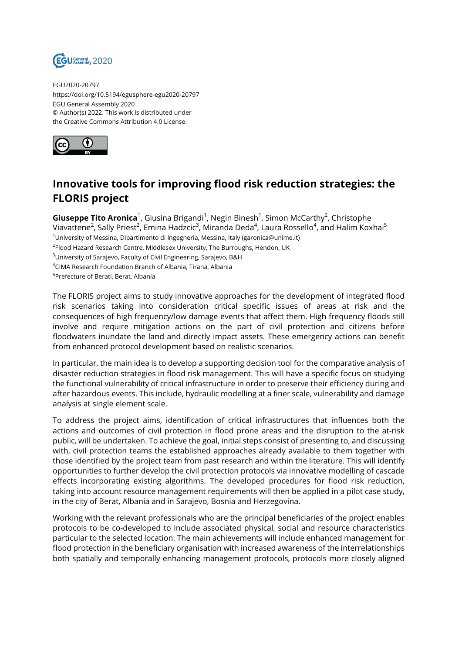

EGU2020-20797 https://doi.org/10.5194/egusphere-egu2020-20797 EGU General Assembly 2020 © Author(s) 2022. This work is distributed under the Creative Commons Attribution 4.0 License.



## **Innovative tools for improving flood risk reduction strategies: the FLORIS project**

**Giuseppe Tito Aronica**<sup>1</sup>, Giusina Brigandi<sup>1</sup>, Negin Binesh<sup>1</sup>, Simon McCarthy<sup>2</sup>, Christophe Viavattene<sup>2</sup>, Sally Priest<sup>2</sup>, Emina Hadzcic<sup>3</sup>, Miranda Deda<sup>4</sup>, Laura Rossello<sup>4</sup>, and Halim Koxhai<sup>5</sup>  $1$ University of Messina, Dipartimento di Ingegneria, Messina, Italy (garonica@unime.it)  $^2$ Flood Hazard Research Centre, Middlesex University, The Burroughs, Hendon, UK <sup>3</sup>University of Sarajevo, Faculty of Civil Engineering, Sarajevo, B&H <sup>4</sup>CIMA Research Foundation Branch of Albania, Tirana, Albania 5 Prefecture of Berati, Berat, Albania

The FLORIS project aims to study innovative approaches for the development of integrated flood risk scenarios taking into consideration critical specific issues of areas at risk and the consequences of high frequency/low damage events that affect them. High frequency floods still involve and require mitigation actions on the part of civil protection and citizens before floodwaters inundate the land and directly impact assets. These emergency actions can benefit from enhanced protocol development based on realistic scenarios.

In particular, the main idea is to develop a supporting decision tool for the comparative analysis of disaster reduction strategies in flood risk management. This will have a specific focus on studying the functional vulnerability of critical infrastructure in order to preserve their efficiency during and after hazardous events. This include, hydraulic modelling at a finer scale, vulnerability and damage analysis at single element scale.

To address the project aims, identification of critical infrastructures that influences both the actions and outcomes of civil protection in flood prone areas and the disruption to the at-risk public, will be undertaken. To achieve the goal, initial steps consist of presenting to, and discussing with, civil protection teams the established approaches already available to them together with those identified by the project team from past research and within the literature. This will identify opportunities to further develop the civil protection protocols via innovative modelling of cascade effects incorporating existing algorithms. The developed procedures for flood risk reduction, taking into account resource management requirements will then be applied in a pilot case study, in the city of Berat, Albania and in Sarajevo, Bosnia and Herzegovina.

Working with the relevant professionals who are the principal beneficiaries of the project enables protocols to be co-developed to include associated physical, social and resource characteristics particular to the selected location. The main achievements will include enhanced management for flood protection in the beneficiary organisation with increased awareness of the interrelationships both spatially and temporally enhancing management protocols, protocols more closely aligned